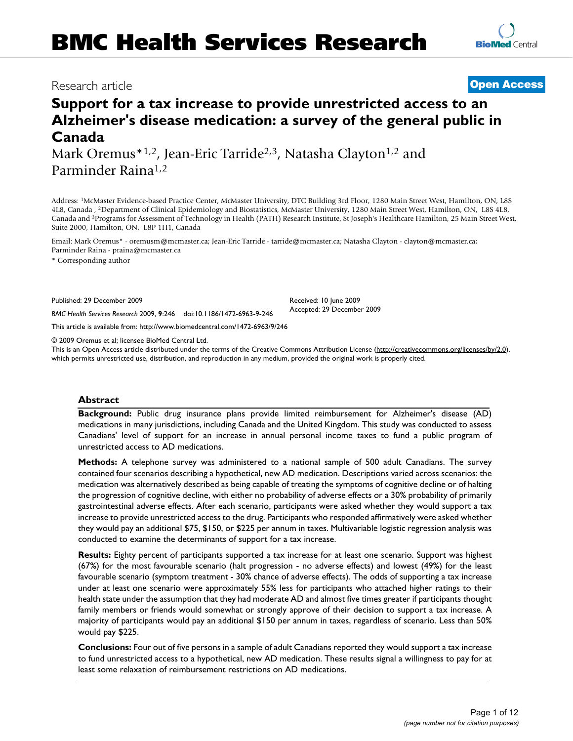# Research article **[Open Access](http://www.biomedcentral.com/info/about/charter/)**

# **Support for a tax increase to provide unrestricted access to an Alzheimer's disease medication: a survey of the general public in Canada**

Mark Oremus<sup>\*1,2</sup>, Jean-Eric Tarride<sup>2,3</sup>, Natasha Clayton<sup>1,2</sup> and Parminder Raina1,2

Address: 1McMaster Evidence-based Practice Center, McMaster University, DTC Building 3rd Floor, 1280 Main Street West, Hamilton, ON, L8S 4L8, Canada , 2Department of Clinical Epidemiology and Biostatistics, McMaster University, 1280 Main Street West, Hamilton, ON, L8S 4L8, Canada and 3Programs for Assessment of Technology in Health (PATH) Research Institute, St Joseph's Healthcare Hamilton, 25 Main Street West, Suite 2000, Hamilton, ON, L8P 1H1, Canada

Email: Mark Oremus\* - oremusm@mcmaster.ca; Jean-Eric Tarride - tarride@mcmaster.ca; Natasha Clayton - clayton@mcmaster.ca; Parminder Raina - praina@mcmaster.ca

\* Corresponding author

Published: 29 December 2009

*BMC Health Services Research* 2009, **9**:246 doi:10.1186/1472-6963-9-246

[This article is available from: http://www.biomedcentral.com/1472-6963/9/246](http://www.biomedcentral.com/1472-6963/9/246)

© 2009 Oremus et al; licensee BioMed Central Ltd.

This is an Open Access article distributed under the terms of the Creative Commons Attribution License [\(http://creativecommons.org/licenses/by/2.0\)](http://creativecommons.org/licenses/by/2.0), which permits unrestricted use, distribution, and reproduction in any medium, provided the original work is properly cited.

#### **Abstract**

**Background:** Public drug insurance plans provide limited reimbursement for Alzheimer's disease (AD) medications in many jurisdictions, including Canada and the United Kingdom. This study was conducted to assess Canadians' level of support for an increase in annual personal income taxes to fund a public program of unrestricted access to AD medications.

**Methods:** A telephone survey was administered to a national sample of 500 adult Canadians. The survey contained four scenarios describing a hypothetical, new AD medication. Descriptions varied across scenarios: the medication was alternatively described as being capable of treating the symptoms of cognitive decline or of halting the progression of cognitive decline, with either no probability of adverse effects or a 30% probability of primarily gastrointestinal adverse effects. After each scenario, participants were asked whether they would support a tax increase to provide unrestricted access to the drug. Participants who responded affirmatively were asked whether they would pay an additional \$75, \$150, or \$225 per annum in taxes. Multivariable logistic regression analysis was conducted to examine the determinants of support for a tax increase.

**Results:** Eighty percent of participants supported a tax increase for at least one scenario. Support was highest (67%) for the most favourable scenario (halt progression - no adverse effects) and lowest (49%) for the least favourable scenario (symptom treatment - 30% chance of adverse effects). The odds of supporting a tax increase under at least one scenario were approximately 55% less for participants who attached higher ratings to their health state under the assumption that they had moderate AD and almost five times greater if participants thought family members or friends would somewhat or strongly approve of their decision to support a tax increase. A majority of participants would pay an additional \$150 per annum in taxes, regardless of scenario. Less than 50% would pay \$225.

**Conclusions:** Four out of five persons in a sample of adult Canadians reported they would support a tax increase to fund unrestricted access to a hypothetical, new AD medication. These results signal a willingness to pay for at least some relaxation of reimbursement restrictions on AD medications.

Received: 10 June 2009 Accepted: 29 December 2009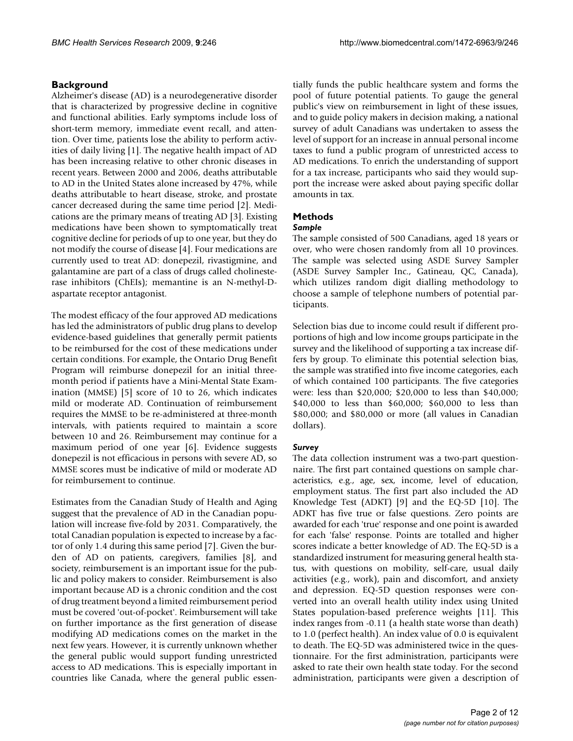#### **Background**

Alzheimer's disease (AD) is a neurodegenerative disorder that is characterized by progressive decline in cognitive and functional abilities. Early symptoms include loss of short-term memory, immediate event recall, and attention. Over time, patients lose the ability to perform activities of daily living [1]. The negative health impact of AD has been increasing relative to other chronic diseases in recent years. Between 2000 and 2006, deaths attributable to AD in the United States alone increased by 47%, while deaths attributable to heart disease, stroke, and prostate cancer decreased during the same time period [2]. Medications are the primary means of treating AD [3]. Existing medications have been shown to symptomatically treat cognitive decline for periods of up to one year, but they do not modify the course of disease [4]. Four medications are currently used to treat AD: donepezil, rivastigmine, and galantamine are part of a class of drugs called cholinesterase inhibitors (ChEIs); memantine is an N-methyl-Daspartate receptor antagonist.

The modest efficacy of the four approved AD medications has led the administrators of public drug plans to develop evidence-based guidelines that generally permit patients to be reimbursed for the cost of these medications under certain conditions. For example, the Ontario Drug Benefit Program will reimburse donepezil for an initial threemonth period if patients have a Mini-Mental State Examination (MMSE) [5] score of 10 to 26, which indicates mild or moderate AD. Continuation of reimbursement requires the MMSE to be re-administered at three-month intervals, with patients required to maintain a score between 10 and 26. Reimbursement may continue for a maximum period of one year [6]. Evidence suggests donepezil is not efficacious in persons with severe AD, so MMSE scores must be indicative of mild or moderate AD for reimbursement to continue.

Estimates from the Canadian Study of Health and Aging suggest that the prevalence of AD in the Canadian population will increase five-fold by 2031. Comparatively, the total Canadian population is expected to increase by a factor of only 1.4 during this same period [7]. Given the burden of AD on patients, caregivers, families [8], and society, reimbursement is an important issue for the public and policy makers to consider. Reimbursement is also important because AD is a chronic condition and the cost of drug treatment beyond a limited reimbursement period must be covered 'out-of-pocket'. Reimbursement will take on further importance as the first generation of disease modifying AD medications comes on the market in the next few years. However, it is currently unknown whether the general public would support funding unrestricted access to AD medications. This is especially important in countries like Canada, where the general public essentially funds the public healthcare system and forms the pool of future potential patients. To gauge the general public's view on reimbursement in light of these issues, and to guide policy makers in decision making, a national survey of adult Canadians was undertaken to assess the level of support for an increase in annual personal income taxes to fund a public program of unrestricted access to AD medications. To enrich the understanding of support for a tax increase, participants who said they would support the increase were asked about paying specific dollar amounts in tax.

# **Methods**

#### *Sample*

The sample consisted of 500 Canadians, aged 18 years or over, who were chosen randomly from all 10 provinces. The sample was selected using ASDE Survey Sampler (ASDE Survey Sampler Inc., Gatineau, QC, Canada), which utilizes random digit dialling methodology to choose a sample of telephone numbers of potential participants.

Selection bias due to income could result if different proportions of high and low income groups participate in the survey and the likelihood of supporting a tax increase differs by group. To eliminate this potential selection bias, the sample was stratified into five income categories, each of which contained 100 participants. The five categories were: less than \$20,000; \$20,000 to less than \$40,000; \$40,000 to less than \$60,000; \$60,000 to less than \$80,000; and \$80,000 or more (all values in Canadian dollars).

#### *Survey*

The data collection instrument was a two-part questionnaire. The first part contained questions on sample characteristics, e.g., age, sex, income, level of education, employment status. The first part also included the AD Knowledge Test (ADKT) [9] and the EQ-5D [10]. The ADKT has five true or false questions. Zero points are awarded for each 'true' response and one point is awarded for each 'false' response. Points are totalled and higher scores indicate a better knowledge of AD. The EQ-5D is a standardized instrument for measuring general health status, with questions on mobility, self-care, usual daily activities (e.g., work), pain and discomfort, and anxiety and depression. EQ-5D question responses were converted into an overall health utility index using United States population-based preference weights [11]. This index ranges from -0.11 (a health state worse than death) to 1.0 (perfect health). An index value of 0.0 is equivalent to death. The EQ-5D was administered twice in the questionnaire. For the first administration, participants were asked to rate their own health state today. For the second administration, participants were given a description of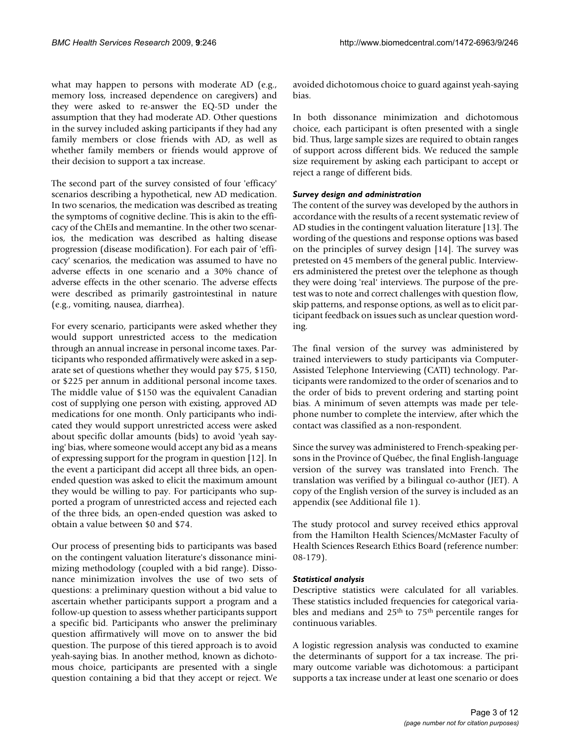what may happen to persons with moderate AD (e.g., memory loss, increased dependence on caregivers) and they were asked to re-answer the EQ-5D under the assumption that they had moderate AD. Other questions in the survey included asking participants if they had any family members or close friends with AD, as well as whether family members or friends would approve of their decision to support a tax increase.

The second part of the survey consisted of four 'efficacy' scenarios describing a hypothetical, new AD medication. In two scenarios, the medication was described as treating the symptoms of cognitive decline. This is akin to the efficacy of the ChEIs and memantine. In the other two scenarios, the medication was described as halting disease progression (disease modification). For each pair of 'efficacy' scenarios, the medication was assumed to have no adverse effects in one scenario and a 30% chance of adverse effects in the other scenario. The adverse effects were described as primarily gastrointestinal in nature (e.g., vomiting, nausea, diarrhea).

For every scenario, participants were asked whether they would support unrestricted access to the medication through an annual increase in personal income taxes. Participants who responded affirmatively were asked in a separate set of questions whether they would pay \$75, \$150, or \$225 per annum in additional personal income taxes. The middle value of \$150 was the equivalent Canadian cost of supplying one person with existing, approved AD medications for one month. Only participants who indicated they would support unrestricted access were asked about specific dollar amounts (bids) to avoid 'yeah saying' bias, where someone would accept any bid as a means of expressing support for the program in question [12]. In the event a participant did accept all three bids, an openended question was asked to elicit the maximum amount they would be willing to pay. For participants who supported a program of unrestricted access and rejected each of the three bids, an open-ended question was asked to obtain a value between \$0 and \$74.

Our process of presenting bids to participants was based on the contingent valuation literature's dissonance minimizing methodology (coupled with a bid range). Dissonance minimization involves the use of two sets of questions: a preliminary question without a bid value to ascertain whether participants support a program and a follow-up question to assess whether participants support a specific bid. Participants who answer the preliminary question affirmatively will move on to answer the bid question. The purpose of this tiered approach is to avoid yeah-saying bias. In another method, known as dichotomous choice, participants are presented with a single question containing a bid that they accept or reject. We avoided dichotomous choice to guard against yeah-saying bias.

In both dissonance minimization and dichotomous choice, each participant is often presented with a single bid. Thus, large sample sizes are required to obtain ranges of support across different bids. We reduced the sample size requirement by asking each participant to accept or reject a range of different bids.

#### *Survey design and administration*

The content of the survey was developed by the authors in accordance with the results of a recent systematic review of AD studies in the contingent valuation literature [13]. The wording of the questions and response options was based on the principles of survey design [14]. The survey was pretested on 45 members of the general public. Interviewers administered the pretest over the telephone as though they were doing 'real' interviews. The purpose of the pretest was to note and correct challenges with question flow, skip patterns, and response options, as well as to elicit participant feedback on issues such as unclear question wording.

The final version of the survey was administered by trained interviewers to study participants via Computer-Assisted Telephone Interviewing (CATI) technology. Participants were randomized to the order of scenarios and to the order of bids to prevent ordering and starting point bias. A minimum of seven attempts was made per telephone number to complete the interview, after which the contact was classified as a non-respondent.

Since the survey was administered to French-speaking persons in the Province of Québec, the final English-language version of the survey was translated into French. The translation was verified by a bilingual co-author (JET). A copy of the English version of the survey is included as an appendix (see Additional file 1).

The study protocol and survey received ethics approval from the Hamilton Health Sciences/McMaster Faculty of Health Sciences Research Ethics Board (reference number: 08-179).

#### *Statistical analysis*

Descriptive statistics were calculated for all variables. These statistics included frequencies for categorical variables and medians and 25<sup>th</sup> to 75<sup>th</sup> percentile ranges for continuous variables.

A logistic regression analysis was conducted to examine the determinants of support for a tax increase. The primary outcome variable was dichotomous: a participant supports a tax increase under at least one scenario or does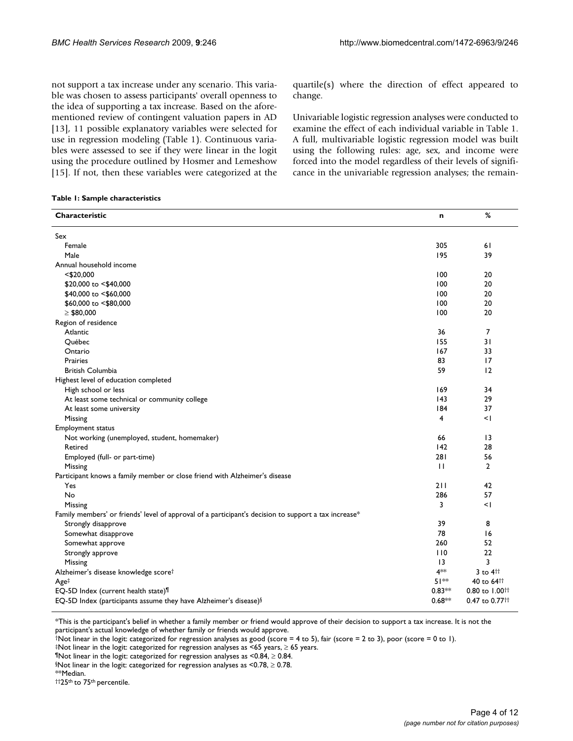not support a tax increase under any scenario. This variable was chosen to assess participants' overall openness to the idea of supporting a tax increase. Based on the aforementioned review of contingent valuation papers in AD [13], 11 possible explanatory variables were selected for use in regression modeling (Table 1). Continuous variables were assessed to see if they were linear in the logit using the procedure outlined by Hosmer and Lemeshow [15]. If not, then these variables were categorized at the

#### **Table 1: Sample characteristics**

quartile(s) where the direction of effect appeared to change.

Univariable logistic regression analyses were conducted to examine the effect of each individual variable in Table 1. A full, multivariable logistic regression model was built using the following rules: age, sex, and income were forced into the model regardless of their levels of significance in the univariable regression analyses; the remain-

| Characteristic                                                                                       | n            | %                          |
|------------------------------------------------------------------------------------------------------|--------------|----------------------------|
| Sex                                                                                                  |              |                            |
| Female                                                                                               | 305          | 61                         |
| Male                                                                                                 | 195          | 39                         |
| Annual household income                                                                              |              |                            |
| $<$ \$20,000                                                                                         | 100          | 20                         |
| \$20,000 to <\$40,000                                                                                | 100          | 20                         |
| \$40,000 to <\$60,000                                                                                | 100          | 20                         |
| \$60,000 to <\$80,000                                                                                | 100          | 20                         |
| $\geq$ \$80,000                                                                                      | 100          | 20                         |
| Region of residence                                                                                  |              |                            |
| Atlantic                                                                                             | 36           | $\overline{7}$             |
| Québec                                                                                               | 155          | 31                         |
| Ontario                                                                                              | 167          | 33                         |
| <b>Prairies</b>                                                                                      | 83           | 17                         |
| <b>British Columbia</b>                                                                              | 59           | 12                         |
| Highest level of education completed                                                                 |              |                            |
| High school or less                                                                                  | 169          | 34                         |
| At least some technical or community college                                                         | 143          | 29                         |
| At least some university                                                                             | 184          | 37                         |
| Missing                                                                                              | 4            | $\leq$                     |
| <b>Employment status</b>                                                                             |              |                            |
| Not working (unemployed, student, homemaker)                                                         | 66           | $\overline{13}$            |
| Retired                                                                                              | 142          | 28                         |
| Employed (full- or part-time)                                                                        | 281          | 56                         |
| Missing                                                                                              | $\mathbf{H}$ | $\overline{2}$             |
| Participant knows a family member or close friend with Alzheimer's disease                           |              |                            |
| Yes                                                                                                  | 211          | 42                         |
| No                                                                                                   | 286          | 57                         |
| Missing                                                                                              | 3            | $\leq$                     |
| Family members' or friends' level of approval of a participant's decision to support a tax increase* |              |                            |
| Strongly disapprove                                                                                  | 39           | 8                          |
| Somewhat disapprove                                                                                  | 78           | 6                          |
| Somewhat approve                                                                                     | 260          | 52                         |
| Strongly approve                                                                                     | 110          | 22                         |
| Missing                                                                                              | 13           | 3                          |
| Alzheimer's disease knowledge scoret                                                                 | $4**$        | 3 to 4 <sup>tt</sup>       |
| Age <sup>†</sup>                                                                                     | $51**$       | 40 to 64 <sup>th</sup>     |
| EQ-5D Index (current health state) <sup>1</sup>                                                      | $0.83**$     | 0.80 to 1.00 <sup>tt</sup> |
| EQ-5D Index (participants assume they have Alzheimer's disease)§                                     | $0.68**$     | 0.47 to 0.77 <sup>tt</sup> |

\*This is the participant's belief in whether a family member or friend would approve of their decision to support a tax increase. It is not the participant's actual knowledge of whether family or friends would approve.

†Not linear in the logit: categorized for regression analyses as good (score = 4 to 5), fair (score = 2 to 3), poor (score = 0 to 1).

‡Not linear in the logit: categorized for regression analyses as <65 years, ≥ 65 years.

¶Not linear in the logit: categorized for regression analyses as <0.84, ≥ 0.84.

§Not linear in the logit: categorized for regression analyses as <0.78, ≥ 0.78.

††25th to 75th percentile.

<sup>\*\*</sup>Median.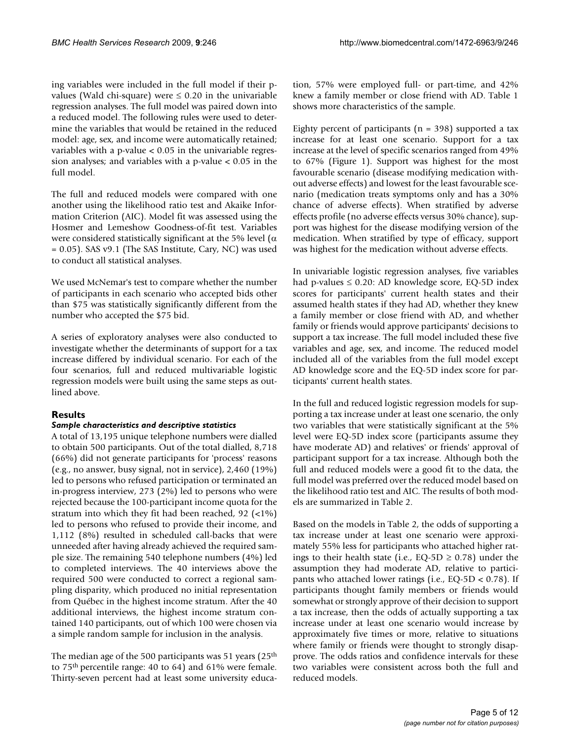ing variables were included in the full model if their pvalues (Wald chi-square) were  $\leq 0.20$  in the univariable regression analyses. The full model was paired down into a reduced model. The following rules were used to determine the variables that would be retained in the reduced model: age, sex, and income were automatically retained; variables with a p-value < 0.05 in the univariable regression analyses; and variables with a p-value < 0.05 in the full model.

The full and reduced models were compared with one another using the likelihood ratio test and Akaike Information Criterion (AIC). Model fit was assessed using the Hosmer and Lemeshow Goodness-of-fit test. Variables were considered statistically significant at the 5% level ( $\alpha$ ) = 0.05). SAS v9.1 (The SAS Institute, Cary, NC) was used to conduct all statistical analyses.

We used McNemar's test to compare whether the number of participants in each scenario who accepted bids other than \$75 was statistically significantly different from the number who accepted the \$75 bid.

A series of exploratory analyses were also conducted to investigate whether the determinants of support for a tax increase differed by individual scenario. For each of the four scenarios, full and reduced multivariable logistic regression models were built using the same steps as outlined above.

# **Results**

### *Sample characteristics and descriptive statistics*

A total of 13,195 unique telephone numbers were dialled to obtain 500 participants. Out of the total dialled, 8,718 (66%) did not generate participants for 'process' reasons (e.g., no answer, busy signal, not in service), 2,460 (19%) led to persons who refused participation or terminated an in-progress interview, 273 (2%) led to persons who were rejected because the 100-participant income quota for the stratum into which they fit had been reached, 92 (<1%) led to persons who refused to provide their income, and 1,112 (8%) resulted in scheduled call-backs that were unneeded after having already achieved the required sample size. The remaining 540 telephone numbers (4%) led to completed interviews. The 40 interviews above the required 500 were conducted to correct a regional sampling disparity, which produced no initial representation from Québec in the highest income stratum. After the 40 additional interviews, the highest income stratum contained 140 participants, out of which 100 were chosen via a simple random sample for inclusion in the analysis.

The median age of the 500 participants was 51 years  $(25<sup>th</sup>$ to 75<sup>th</sup> percentile range: 40 to 64) and 61% were female. Thirty-seven percent had at least some university education, 57% were employed full- or part-time, and 42% knew a family member or close friend with AD. Table 1 shows more characteristics of the sample.

Eighty percent of participants ( $n = 398$ ) supported a tax increase for at least one scenario. Support for a tax increase at the level of specific scenarios ranged from 49% to 67% (Figure 1). Support was highest for the most favourable scenario (disease modifying medication without adverse effects) and lowest for the least favourable scenario (medication treats symptoms only and has a 30% chance of adverse effects). When stratified by adverse effects profile (no adverse effects versus 30% chance), support was highest for the disease modifying version of the medication. When stratified by type of efficacy, support was highest for the medication without adverse effects.

In univariable logistic regression analyses, five variables had p-values  $\leq 0.20$ : AD knowledge score, EQ-5D index scores for participants' current health states and their assumed health states if they had AD, whether they knew a family member or close friend with AD, and whether family or friends would approve participants' decisions to support a tax increase. The full model included these five variables and age, sex, and income. The reduced model included all of the variables from the full model except AD knowledge score and the EQ-5D index score for participants' current health states.

In the full and reduced logistic regression models for supporting a tax increase under at least one scenario, the only two variables that were statistically significant at the 5% level were EQ-5D index score (participants assume they have moderate AD) and relatives' or friends' approval of participant support for a tax increase. Although both the full and reduced models were a good fit to the data, the full model was preferred over the reduced model based on the likelihood ratio test and AIC. The results of both models are summarized in Table 2.

Based on the models in Table 2, the odds of supporting a tax increase under at least one scenario were approximately 55% less for participants who attached higher ratings to their health state (i.e.,  $EQ-5D \ge 0.78$ ) under the assumption they had moderate AD, relative to participants who attached lower ratings (i.e., EQ-5D < 0.78). If participants thought family members or friends would somewhat or strongly approve of their decision to support a tax increase, then the odds of actually supporting a tax increase under at least one scenario would increase by approximately five times or more, relative to situations where family or friends were thought to strongly disapprove. The odds ratios and confidence intervals for these two variables were consistent across both the full and reduced models.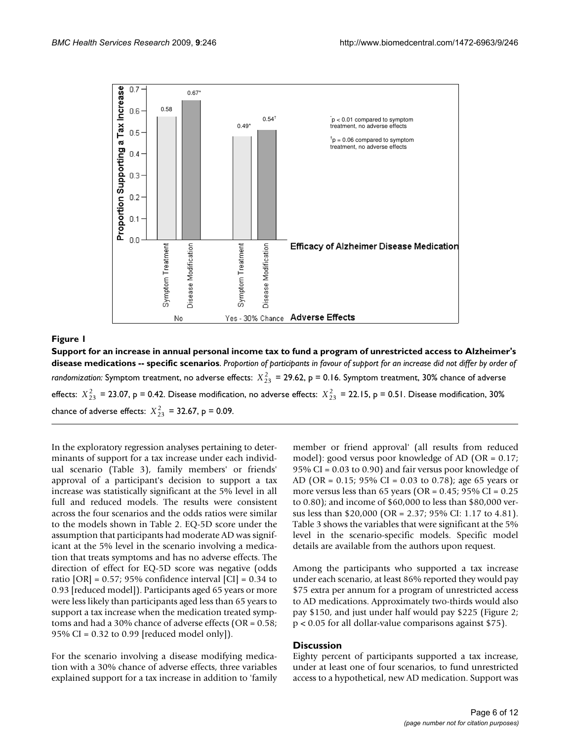

**Support for an increase in annual personal income tax to fund a program of unrestricted access to Alzheimer's disease medications -- specific scenarios**. *Proportion of participants in favour of support for an increase did not differ by order of randomization:* Symptom treatment, no adverse effects:  $X_{23}^2$  = 29.62, p = 0.16. Symptom treatment, 30% chance of adverse effects:  $X_{23}^2$  = 23.07, p = 0.42. Disease modification, no adverse effects:  $X_{23}^2$  = 22.15, p = 0.51. Disease modification, 30% chance of adverse effects:  $X_{23}^2 = 32.67$ , p = 0.09.

In the exploratory regression analyses pertaining to determinants of support for a tax increase under each individual scenario (Table 3), family members' or friends' approval of a participant's decision to support a tax increase was statistically significant at the 5% level in all full and reduced models. The results were consistent across the four scenarios and the odds ratios were similar to the models shown in Table 2. EQ-5D score under the assumption that participants had moderate AD was significant at the 5% level in the scenario involving a medication that treats symptoms and has no adverse effects. The direction of effect for EQ-5D score was negative (odds ratio  $[OR] = 0.57$ ; 95% confidence interval  $[CI] = 0.34$  to 0.93 [reduced model]). Participants aged 65 years or more were less likely than participants aged less than 65 years to support a tax increase when the medication treated symptoms and had a 30% chance of adverse effects (OR = 0.58; 95% CI = 0.32 to 0.99 [reduced model only]).

For the scenario involving a disease modifying medication with a 30% chance of adverse effects, three variables explained support for a tax increase in addition to 'family member or friend approval' (all results from reduced model): good versus poor knowledge of AD (OR = 0.17; 95% CI = 0.03 to 0.90) and fair versus poor knowledge of AD (OR = 0.15; 95% CI = 0.03 to 0.78); age 65 years or more versus less than 65 years (OR =  $0.45$ ; 95% CI =  $0.25$ ) to 0.80); and income of \$60,000 to less than \$80,000 versus less than \$20,000 (OR = 2.37; 95% CI: 1.17 to 4.81). Table 3 shows the variables that were significant at the 5% level in the scenario-specific models. Specific model details are available from the authors upon request.

Among the participants who supported a tax increase under each scenario, at least 86% reported they would pay \$75 extra per annum for a program of unrestricted access to AD medications. Approximately two-thirds would also pay \$150, and just under half would pay \$225 (Figure 2; p < 0.05 for all dollar-value comparisons against \$75).

#### **Discussion**

Eighty percent of participants supported a tax increase, under at least one of four scenarios, to fund unrestricted access to a hypothetical, new AD medication. Support was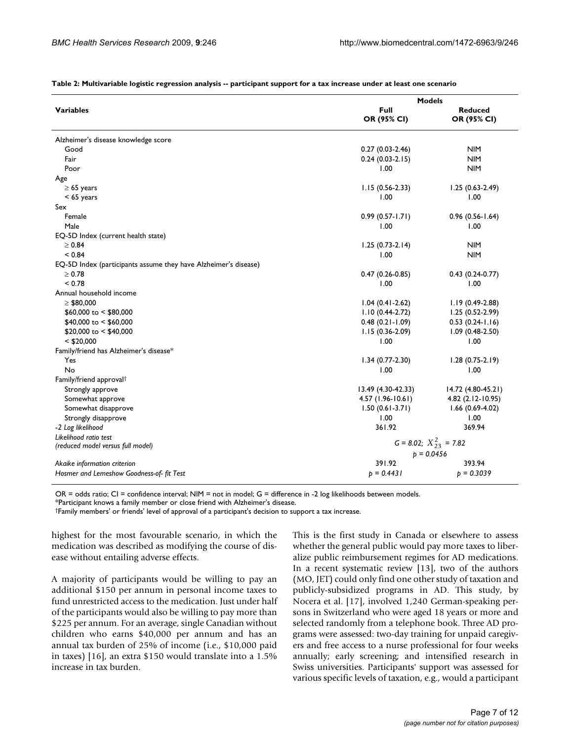|                                                                 |                     | <b>Models</b>                 |  |  |  |
|-----------------------------------------------------------------|---------------------|-------------------------------|--|--|--|
| <b>Variables</b>                                                | Full<br>OR (95% CI) | <b>Reduced</b><br>OR (95% CI) |  |  |  |
| Alzheimer's disease knowledge score                             |                     |                               |  |  |  |
| Good                                                            | $0.27(0.03 - 2.46)$ | <b>NIM</b>                    |  |  |  |
| Fair                                                            | $0.24(0.03-2.15)$   | <b>NIM</b>                    |  |  |  |
| Poor                                                            | 1.00                | <b>NIM</b>                    |  |  |  |
| Age                                                             |                     |                               |  |  |  |
| $\geq 65$ years                                                 | $1.15(0.56-2.33)$   | $1.25(0.63 - 2.49)$           |  |  |  |
| $< 65$ years                                                    | 1.00                | 1.00                          |  |  |  |
| Sex                                                             |                     |                               |  |  |  |
| Female                                                          | $0.99(0.57 - 1.71)$ | $0.96(0.56 - 1.64)$           |  |  |  |
| Male                                                            | 1.00                | 1.00                          |  |  |  |
| EQ-5D Index (current health state)                              |                     |                               |  |  |  |
| $\geq 0.84$                                                     | $1.25(0.73-2.14)$   | <b>NIM</b>                    |  |  |  |
| < 0.84                                                          | 1.00                | <b>NIM</b>                    |  |  |  |
| EQ-5D Index (participants assume they have Alzheimer's disease) |                     |                               |  |  |  |
| $\geq 0.78$                                                     | $0.47(0.26-0.85)$   | $0.43(0.24-0.77)$             |  |  |  |
| < 0.78                                                          | 1.00                | 1.00                          |  |  |  |
| Annual household income                                         |                     |                               |  |  |  |
| $\geq$ \$80,000                                                 | $1.04(0.41-2.62)$   | $1.19(0.49-2.88)$             |  |  |  |
| $$60,000$ to < \$80,000                                         | $1.10(0.44-2.72)$   | $1.25(0.52 - 2.99)$           |  |  |  |
| $$40,000$ to < \$60,000                                         | $0.48(0.21-1.09)$   | $0.53(0.24 - 1.16)$           |  |  |  |
| $$20,000$ to < \$40,000                                         | $1.15(0.36-2.09)$   | $1.09(0.48-2.50)$             |  |  |  |
| $<$ \$20,000                                                    | 1.00                | 1.00                          |  |  |  |
| Family/friend has Alzheimer's disease*                          |                     |                               |  |  |  |
| Yes                                                             | $1.34(0.77-2.30)$   | $1.28(0.75-2.19)$             |  |  |  |
| No                                                              | 1.00                | 1.00                          |  |  |  |
| Family/friend approvalt                                         |                     |                               |  |  |  |
| Strongly approve                                                | 13.49 (4.30-42.33)  | 14.72 (4.80-45.21)            |  |  |  |
| Somewhat approve                                                | $4.57(1.96-10.61)$  | $4.82$ (2.12-10.95)           |  |  |  |
| Somewhat disapprove                                             | $1.50(0.61-3.71)$   | $1.66(0.69-4.02)$             |  |  |  |
| Strongly disapprove                                             | 1.00                | 1.00                          |  |  |  |
| -2 Log likelihood                                               | 361.92              | 369.94                        |  |  |  |
| Likelihood ratio test                                           |                     |                               |  |  |  |
| (reduced model versus full model)                               |                     | $G = 8.02; X_{23}^2 = 7.82$   |  |  |  |
|                                                                 |                     | $b = 0.0456$                  |  |  |  |

**Table 2: Multivariable logistic regression analysis -- participant support for a tax increase under at least one scenario**

*Akaike information criterion* 391.92 393.94 *Hosmer and Lemeshow Goodness-of- fit Test p = 0.3039 p = 0.4431 p = 0.3039* 

OR = odds ratio; CI = confidence interval; NIM = not in model; G = difference in -2 log likelihoods between models.

\*Participant knows a family member or close friend with Alzheimer's disease.

†Family members' or friends' level of approval of a participant's decision to support a tax increase.

highest for the most favourable scenario, in which the medication was described as modifying the course of disease without entailing adverse effects.

A majority of participants would be willing to pay an additional \$150 per annum in personal income taxes to fund unrestricted access to the medication. Just under half of the participants would also be willing to pay more than \$225 per annum. For an average, single Canadian without children who earns \$40,000 per annum and has an annual tax burden of 25% of income (i.e., \$10,000 paid in taxes) [16], an extra \$150 would translate into a 1.5% increase in tax burden.

This is the first study in Canada or elsewhere to assess whether the general public would pay more taxes to liberalize public reimbursement regimes for AD medications. In a recent systematic review [13], two of the authors (MO, JET) could only find one other study of taxation and publicly-subsidized programs in AD. This study, by Nocera et al. [17], involved 1,240 German-speaking persons in Switzerland who were aged 18 years or more and selected randomly from a telephone book. Three AD programs were assessed: two-day training for unpaid caregivers and free access to a nurse professional for four weeks annually; early screening; and intensified research in Swiss universities. Participants' support was assessed for various specific levels of taxation, e.g., would a participant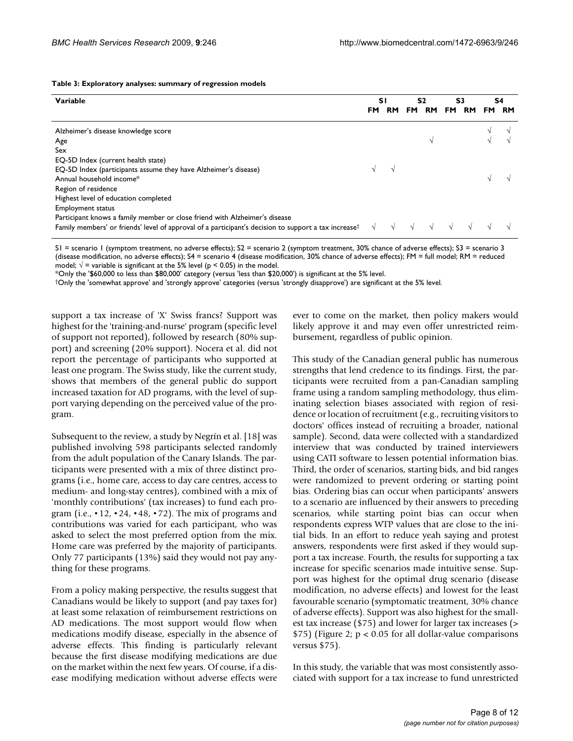#### **Table 3: Exploratory analyses: summary of regression models**

| Variable                                                                                                         | <b>SI</b> |    | S <sub>2</sub> |               | S3  |           | S4 |       |
|------------------------------------------------------------------------------------------------------------------|-----------|----|----------------|---------------|-----|-----------|----|-------|
|                                                                                                                  | FM        | RM | FM.            | <b>RM</b>     | FM. | <b>RM</b> |    | FM RM |
| Alzheimer's disease knowledge score                                                                              |           |    |                |               |     |           |    |       |
| Age                                                                                                              |           |    |                | $\mathcal{N}$ |     |           |    |       |
| Sex                                                                                                              |           |    |                |               |     |           |    |       |
| EQ-5D Index (current health state)                                                                               |           |    |                |               |     |           |    |       |
| EQ-5D Index (participants assume they have Alzheimer's disease)                                                  |           |    |                |               |     |           |    |       |
| Annual household income*                                                                                         |           |    |                |               |     |           |    |       |
| Region of residence                                                                                              |           |    |                |               |     |           |    |       |
| Highest level of education completed                                                                             |           |    |                |               |     |           |    |       |
| <b>Employment status</b>                                                                                         |           |    |                |               |     |           |    |       |
| Participant knows a family member or close friend with Alzheimer's disease                                       |           |    |                |               |     |           |    |       |
| Family members' or friends' level of approval of a participant's decision to support a tax increase <sup>†</sup> |           |    |                |               |     |           |    |       |

S1 = scenario 1 (symptom treatment, no adverse effects); S2 = scenario 2 (symptom treatment, 30% chance of adverse effects); S3 = scenario 3 (disease modification, no adverse effects); S4 = scenario 4 (disease modification, 30% chance of adverse effects); FM = full model; RM = reduced model;  $\sqrt{ }$  = variable is significant at the 5% level (p < 0.05) in the model.

\*Only the '\$60,000 to less than \$80,000' category (versus 'less than \$20,000') is significant at the 5% level.

†Only the 'somewhat approve' and 'strongly approve' categories (versus 'strongly disapprove') are significant at the 5% level.

support a tax increase of 'X' Swiss francs? Support was highest for the 'training-and-nurse' program (specific level of support not reported), followed by research (80% support) and screening (20% support). Nocera et al. did not report the percentage of participants who supported at least one program. The Swiss study, like the current study, shows that members of the general public do support increased taxation for AD programs, with the level of support varying depending on the perceived value of the program.

Subsequent to the review, a study by Negrín et al. [18] was published involving 598 participants selected randomly from the adult population of the Canary Islands. The participants were presented with a mix of three distinct programs (i.e., home care, access to day care centres, access to medium- and long-stay centres), combined with a mix of 'monthly contributions' (tax increases) to fund each program (i.e.,  $\cdot$  12,  $\cdot$  24,  $\cdot$  48,  $\cdot$  72). The mix of programs and contributions was varied for each participant, who was asked to select the most preferred option from the mix. Home care was preferred by the majority of participants. Only 77 participants (13%) said they would not pay anything for these programs.

From a policy making perspective, the results suggest that Canadians would be likely to support (and pay taxes for) at least some relaxation of reimbursement restrictions on AD medications. The most support would flow when medications modify disease, especially in the absence of adverse effects. This finding is particularly relevant because the first disease modifying medications are due on the market within the next few years. Of course, if a disease modifying medication without adverse effects were ever to come on the market, then policy makers would likely approve it and may even offer unrestricted reimbursement, regardless of public opinion.

This study of the Canadian general public has numerous strengths that lend credence to its findings. First, the participants were recruited from a pan-Canadian sampling frame using a random sampling methodology, thus eliminating selection biases associated with region of residence or location of recruitment (e.g., recruiting visitors to doctors' offices instead of recruiting a broader, national sample). Second, data were collected with a standardized interview that was conducted by trained interviewers using CATI software to lessen potential information bias. Third, the order of scenarios, starting bids, and bid ranges were randomized to prevent ordering or starting point bias. Ordering bias can occur when participants' answers to a scenario are influenced by their answers to preceding scenarios, while starting point bias can occur when respondents express WTP values that are close to the initial bids. In an effort to reduce yeah saying and protest answers, respondents were first asked if they would support a tax increase. Fourth, the results for supporting a tax increase for specific scenarios made intuitive sense. Support was highest for the optimal drug scenario (disease modification, no adverse effects) and lowest for the least favourable scenario (symptomatic treatment, 30% chance of adverse effects). Support was also highest for the smallest tax increase (\$75) and lower for larger tax increases (> \$75) (Figure 2; p < 0.05 for all dollar-value comparisons versus \$75).

In this study, the variable that was most consistently associated with support for a tax increase to fund unrestricted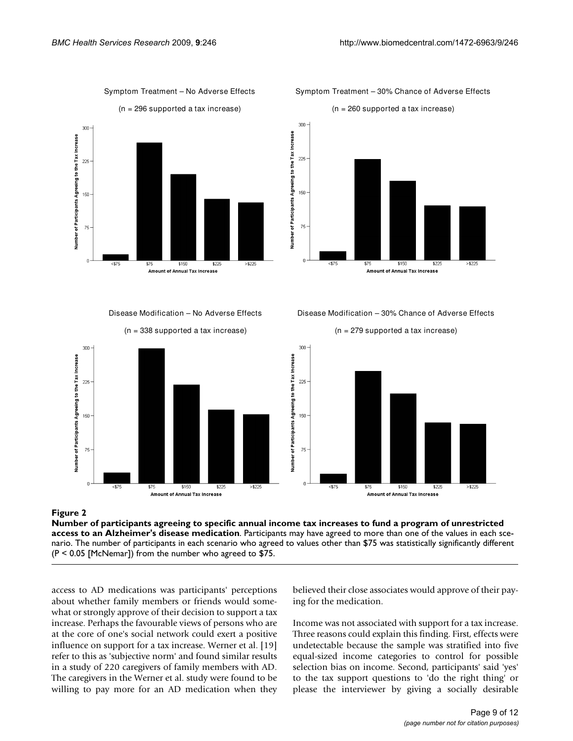

Disease Modification – No Adverse Effects



Disease Modification – 30% Chance of Adverse Effects



#### Number of participants agreeing to specific imer's disease medication **Figure 2** annual income tax increases to fund a program of unrestricted access to an Alzhe-

**Number of participants agreeing to specific annual income tax increases to fund a program of unrestricted access to an Alzheimer's disease medication**. Participants may have agreed to more than one of the values in each scenario. The number of participants in each scenario who agreed to values other than \$75 was statistically significantly different (P < 0.05 [McNemar]) from the number who agreed to \$75.

access to AD medications was participants' perceptions about whether family members or friends would somewhat or strongly approve of their decision to support a tax increase. Perhaps the favourable views of persons who are at the core of one's social network could exert a positive influence on support for a tax increase. Werner et al. [19] refer to this as 'subjective norm' and found similar results in a study of 220 caregivers of family members with AD. The caregivers in the Werner et al. study were found to be willing to pay more for an AD medication when they believed their close associates would approve of their paying for the medication.

Income was not associated with support for a tax increase. Three reasons could explain this finding. First, effects were undetectable because the sample was stratified into five equal-sized income categories to control for possible selection bias on income. Second, participants' said 'yes' to the tax support questions to 'do the right thing' or please the interviewer by giving a socially desirable

# Page 9 of 12



Symptom Treatment – No Adverse Effects



Symptom Treatment – 30% Chance of Adverse Effects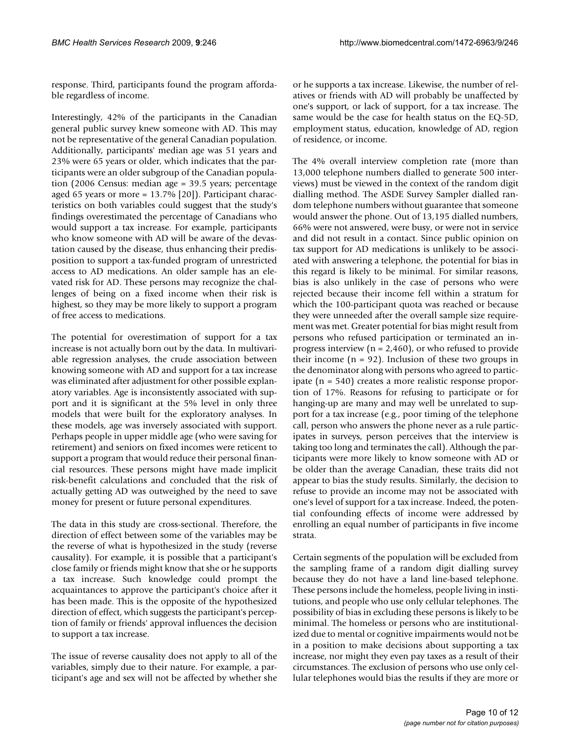response. Third, participants found the program affordable regardless of income.

Interestingly, 42% of the participants in the Canadian general public survey knew someone with AD. This may not be representative of the general Canadian population. Additionally, participants' median age was 51 years and 23% were 65 years or older, which indicates that the participants were an older subgroup of the Canadian population (2006 Census: median age = 39.5 years; percentage aged 65 years or more = 13.7% [20]). Participant characteristics on both variables could suggest that the study's findings overestimated the percentage of Canadians who would support a tax increase. For example, participants who know someone with AD will be aware of the devastation caused by the disease, thus enhancing their predisposition to support a tax-funded program of unrestricted access to AD medications. An older sample has an elevated risk for AD. These persons may recognize the challenges of being on a fixed income when their risk is highest, so they may be more likely to support a program of free access to medications.

The potential for overestimation of support for a tax increase is not actually born out by the data. In multivariable regression analyses, the crude association between knowing someone with AD and support for a tax increase was eliminated after adjustment for other possible explanatory variables. Age is inconsistently associated with support and it is significant at the 5% level in only three models that were built for the exploratory analyses. In these models, age was inversely associated with support. Perhaps people in upper middle age (who were saving for retirement) and seniors on fixed incomes were reticent to support a program that would reduce their personal financial resources. These persons might have made implicit risk-benefit calculations and concluded that the risk of actually getting AD was outweighed by the need to save money for present or future personal expenditures.

The data in this study are cross-sectional. Therefore, the direction of effect between some of the variables may be the reverse of what is hypothesized in the study (reverse causality). For example, it is possible that a participant's close family or friends might know that she or he supports a tax increase. Such knowledge could prompt the acquaintances to approve the participant's choice after it has been made. This is the opposite of the hypothesized direction of effect, which suggests the participant's perception of family or friends' approval influences the decision to support a tax increase.

The issue of reverse causality does not apply to all of the variables, simply due to their nature. For example, a participant's age and sex will not be affected by whether she or he supports a tax increase. Likewise, the number of relatives or friends with AD will probably be unaffected by one's support, or lack of support, for a tax increase. The same would be the case for health status on the EQ-5D, employment status, education, knowledge of AD, region of residence, or income.

The 4% overall interview completion rate (more than 13,000 telephone numbers dialled to generate 500 interviews) must be viewed in the context of the random digit dialling method. The ASDE Survey Sampler dialled random telephone numbers without guarantee that someone would answer the phone. Out of 13,195 dialled numbers, 66% were not answered, were busy, or were not in service and did not result in a contact. Since public opinion on tax support for AD medications is unlikely to be associated with answering a telephone, the potential for bias in this regard is likely to be minimal. For similar reasons, bias is also unlikely in the case of persons who were rejected because their income fell within a stratum for which the 100-participant quota was reached or because they were unneeded after the overall sample size requirement was met. Greater potential for bias might result from persons who refused participation or terminated an inprogress interview ( $n = 2,460$ ), or who refused to provide their income  $(n = 92)$ . Inclusion of these two groups in the denominator along with persons who agreed to participate (n = 540) creates a more realistic response proportion of 17%. Reasons for refusing to participate or for hanging-up are many and may well be unrelated to support for a tax increase (e.g., poor timing of the telephone call, person who answers the phone never as a rule participates in surveys, person perceives that the interview is taking too long and terminates the call). Although the participants were more likely to know someone with AD or be older than the average Canadian, these traits did not appear to bias the study results. Similarly, the decision to refuse to provide an income may not be associated with one's level of support for a tax increase. Indeed, the potential confounding effects of income were addressed by enrolling an equal number of participants in five income strata.

Certain segments of the population will be excluded from the sampling frame of a random digit dialling survey because they do not have a land line-based telephone. These persons include the homeless, people living in institutions, and people who use only cellular telephones. The possibility of bias in excluding these persons is likely to be minimal. The homeless or persons who are institutionalized due to mental or cognitive impairments would not be in a position to make decisions about supporting a tax increase, nor might they even pay taxes as a result of their circumstances. The exclusion of persons who use only cellular telephones would bias the results if they are more or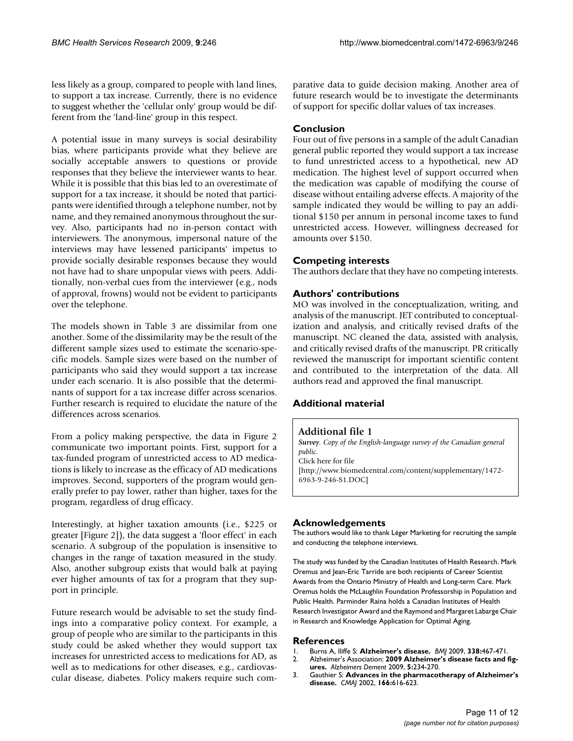less likely as a group, compared to people with land lines, to support a tax increase. Currently, there is no evidence to suggest whether the 'cellular only' group would be different from the 'land-line' group in this respect.

A potential issue in many surveys is social desirability bias, where participants provide what they believe are socially acceptable answers to questions or provide responses that they believe the interviewer wants to hear. While it is possible that this bias led to an overestimate of support for a tax increase, it should be noted that participants were identified through a telephone number, not by name, and they remained anonymous throughout the survey. Also, participants had no in-person contact with interviewers. The anonymous, impersonal nature of the interviews may have lessened participants' impetus to provide socially desirable responses because they would not have had to share unpopular views with peers. Additionally, non-verbal cues from the interviewer (e.g., nods of approval, frowns) would not be evident to participants over the telephone.

The models shown in Table 3 are dissimilar from one another. Some of the dissimilarity may be the result of the different sample sizes used to estimate the scenario-specific models. Sample sizes were based on the number of participants who said they would support a tax increase under each scenario. It is also possible that the determinants of support for a tax increase differ across scenarios. Further research is required to elucidate the nature of the differences across scenarios.

From a policy making perspective, the data in Figure 2 communicate two important points. First, support for a tax-funded program of unrestricted access to AD medications is likely to increase as the efficacy of AD medications improves. Second, supporters of the program would generally prefer to pay lower, rather than higher, taxes for the program, regardless of drug efficacy.

Interestingly, at higher taxation amounts (i.e., \$225 or greater [Figure 2]), the data suggest a 'floor effect' in each scenario. A subgroup of the population is insensitive to changes in the range of taxation measured in the study. Also, another subgroup exists that would balk at paying ever higher amounts of tax for a program that they support in principle.

Future research would be advisable to set the study findings into a comparative policy context. For example, a group of people who are similar to the participants in this study could be asked whether they would support tax increases for unrestricted access to medications for AD, as well as to medications for other diseases, e.g., cardiovascular disease, diabetes. Policy makers require such comparative data to guide decision making. Another area of future research would be to investigate the determinants of support for specific dollar values of tax increases.

# **Conclusion**

Four out of five persons in a sample of the adult Canadian general public reported they would support a tax increase to fund unrestricted access to a hypothetical, new AD medication. The highest level of support occurred when the medication was capable of modifying the course of disease without entailing adverse effects. A majority of the sample indicated they would be willing to pay an additional \$150 per annum in personal income taxes to fund unrestricted access. However, willingness decreased for amounts over \$150.

# **Competing interests**

The authors declare that they have no competing interests.

# **Authors' contributions**

MO was involved in the conceptualization, writing, and analysis of the manuscript. JET contributed to conceptualization and analysis, and critically revised drafts of the manuscript. NC cleaned the data, assisted with analysis, and critically revised drafts of the manuscript. PR critically reviewed the manuscript for important scientific content and contributed to the interpretation of the data. All authors read and approved the final manuscript.

# **Additional material**

### **Additional file 1**

*Survey. Copy of the English-language survey of the Canadian general public.* Click here for file [\[http://www.biomedcentral.com/content/supplementary/1472-](http://www.biomedcentral.com/content/supplementary/1472-6963-9-246-S1.DOC) 6963-9-246-S1.DOC]

### **Acknowledgements**

The authors would like to thank Léger Marketing for recruiting the sample and conducting the telephone interviews.

The study was funded by the Canadian Institutes of Health Research. Mark Oremus and Jean-Eric Tarride are both recipients of Career Scientist Awards from the Ontario Ministry of Health and Long-term Care. Mark Oremus holds the McLaughlin Foundation Professorship in Population and Public Health. Parminder Raina holds a Canadian Institutes of Health Research Investigator Award and the Raymond and Margaret Labarge Chair in Research and Knowledge Application for Optimal Aging.

#### **References**

- 1. Burns A, Iliffe S: **Alzheimer's disease.** *BMJ* 2009, **338:**467-471.
- 2. Alzheimer's Association: **[2009 Alzheimer's disease facts and fig-](http://www.ncbi.nlm.nih.gov/entrez/query.fcgi?cmd=Retrieve&db=PubMed&dopt=Abstract&list_uids=19426951)**
- **[ures.](http://www.ncbi.nlm.nih.gov/entrez/query.fcgi?cmd=Retrieve&db=PubMed&dopt=Abstract&list_uids=19426951)** *Alzheimers Dement* 2009, **5:**234-270. 3. Gauthier S: **[Advances in the pharmacotherapy of Alzheimer's](http://www.ncbi.nlm.nih.gov/entrez/query.fcgi?cmd=Retrieve&db=PubMed&dopt=Abstract&list_uids=11898943) [disease.](http://www.ncbi.nlm.nih.gov/entrez/query.fcgi?cmd=Retrieve&db=PubMed&dopt=Abstract&list_uids=11898943)** *CMAJ* 2002, **166:**616-623.